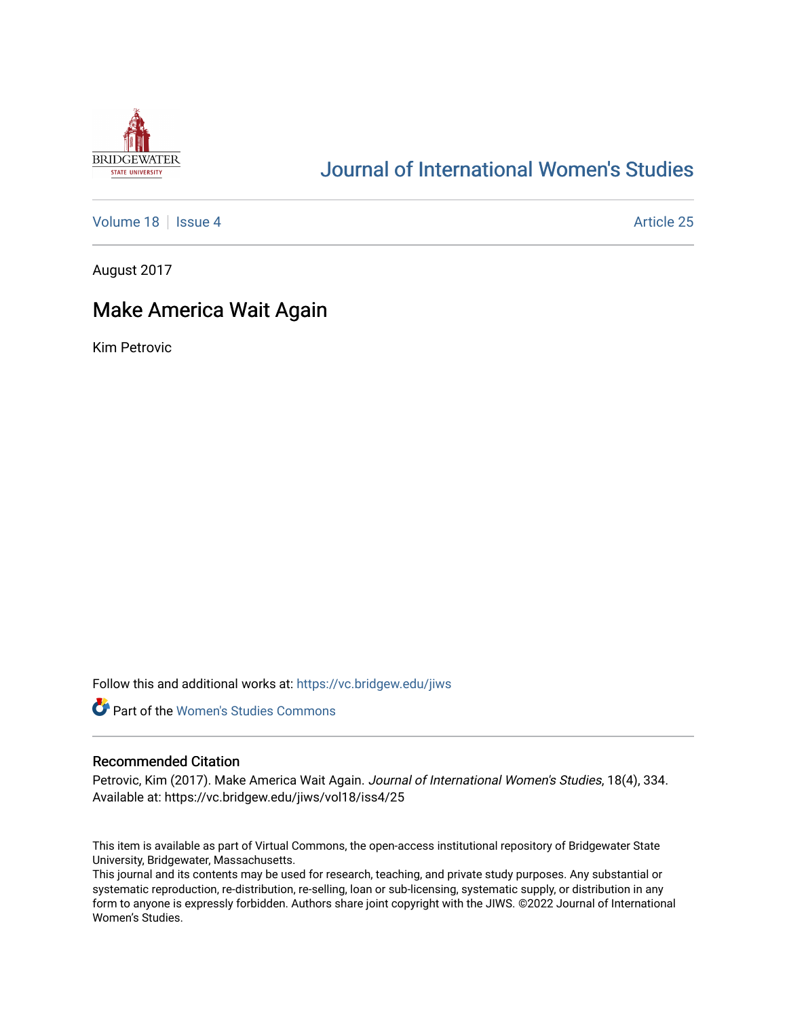

# [Journal of International Women's Studies](https://vc.bridgew.edu/jiws)

[Volume 18](https://vc.bridgew.edu/jiws/vol18) | [Issue 4](https://vc.bridgew.edu/jiws/vol18/iss4) Article 25

August 2017

# Make America Wait Again

Kim Petrovic

Follow this and additional works at: [https://vc.bridgew.edu/jiws](https://vc.bridgew.edu/jiws?utm_source=vc.bridgew.edu%2Fjiws%2Fvol18%2Fiss4%2F25&utm_medium=PDF&utm_campaign=PDFCoverPages)



## Recommended Citation

Petrovic, Kim (2017). Make America Wait Again. Journal of International Women's Studies, 18(4), 334. Available at: https://vc.bridgew.edu/jiws/vol18/iss4/25

This item is available as part of Virtual Commons, the open-access institutional repository of Bridgewater State University, Bridgewater, Massachusetts.

This journal and its contents may be used for research, teaching, and private study purposes. Any substantial or systematic reproduction, re-distribution, re-selling, loan or sub-licensing, systematic supply, or distribution in any form to anyone is expressly forbidden. Authors share joint copyright with the JIWS. ©2022 Journal of International Women's Studies.